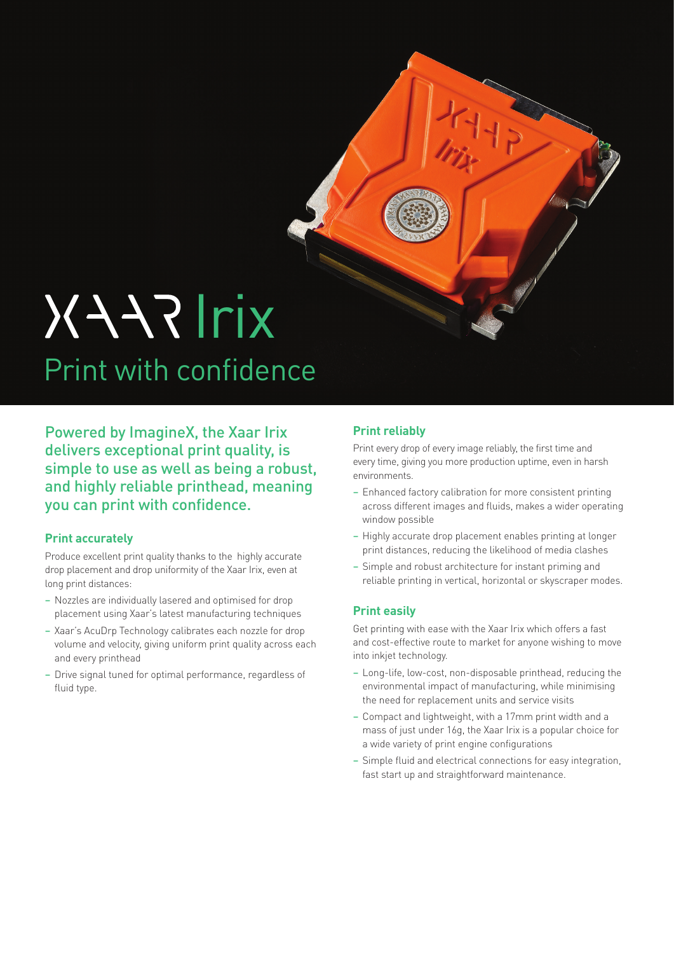# XAARIrix Print with confidence

Powered by ImagineX, the Xaar Irix delivers exceptional print quality, is simple to use as well as being a robust, and highly reliable printhead, meaning you can print with confidence.

### **Print accurately**

Produce excellent print quality thanks to the highly accurate drop placement and drop uniformity of the Xaar Irix, even at long print distances:

- Nozzles are individually lasered and optimised for drop placement using Xaar's latest manufacturing techniques
- Xaar's AcuDrp Technology calibrates each nozzle for drop volume and velocity, giving uniform print quality across each and every printhead
- Drive signal tuned for optimal performance, regardless of fluid type.

## **Print reliably**

Print every drop of every image reliably, the first time and every time, giving you more production uptime, even in harsh environments.

- Enhanced factory calibration for more consistent printing across different images and fluids, makes a wider operating window possible
- Highly accurate drop placement enables printing at longer print distances, reducing the likelihood of media clashes
- Simple and robust architecture for instant priming and reliable printing in vertical, horizontal or skyscraper modes.

### **Print easily**

Get printing with ease with the Xaar Irix which offers a fast and cost-effective route to market for anyone wishing to move into inkjet technology.

- Long-life, low-cost, non-disposable printhead, reducing the environmental impact of manufacturing, while minimising the need for replacement units and service visits
- Compact and lightweight, with a 17mm print width and a mass of just under 16g, the Xaar Irix is a popular choice for a wide variety of print engine configurations
- Simple fluid and electrical connections for easy integration, fast start up and straightforward maintenance.